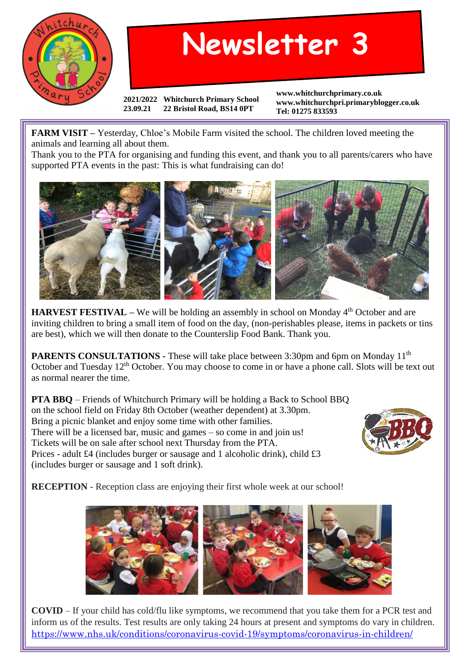

## **Newsletter 3**

**2021/2022 Whitchurch Primary School 23.09.21 22 Bristol Road, BS14 0PT**

**www.whitchurchprimary.co.uk www.whitchurchpri.primaryblogger.co.uk Tel: 01275 833593**

**FARM VISIT –** Yesterday, Chloe's Mobile Farm visited the school. The children loved meeting the animals and learning all about them.

Thank you to the PTA for organising and funding this event, and thank you to all parents/carers who have supported PTA events in the past: This is what fundraising can do!



**HARVEST FESTIVAL** – We will be holding an assembly in school on Monday 4<sup>th</sup> October and are inviting children to bring a small item of food on the day, (non-perishables please, items in packets or tins are best), which we will then donate to the Counterslip Food Bank. Thank you.

**PARENTS CONSULTATIONS -** These will take place between 3:30pm and 6pm on Monday 11<sup>th</sup> October and Tuesday 12<sup>th</sup> October. You may choose to come in or have a phone call. Slots will be text out as normal nearer the time.

**PTA BBQ** – Friends of Whitchurch Primary will be holding a Back to School BBQ on the school field on Friday 8th October (weather dependent) at 3.30pm. Bring a picnic blanket and enjoy some time with other families. There will be a licensed bar, music and games – so come in and join us! Tickets will be on sale after school next Thursday from the PTA. Prices - adult £4 (includes burger or sausage and 1 alcoholic drink), child £3 (includes burger or sausage and 1 soft drink).



**RECEPTION** - Reception class are enjoying their first whole week at our school!



**COVID** – If your child has cold/flu like symptoms, we recommend that you take them for a PCR test and inform us of the results. Test results are only taking 24 hours at present and symptoms do vary in children. <https://www.nhs.uk/conditions/coronavirus-covid-19/symptoms/coronavirus-in-children/>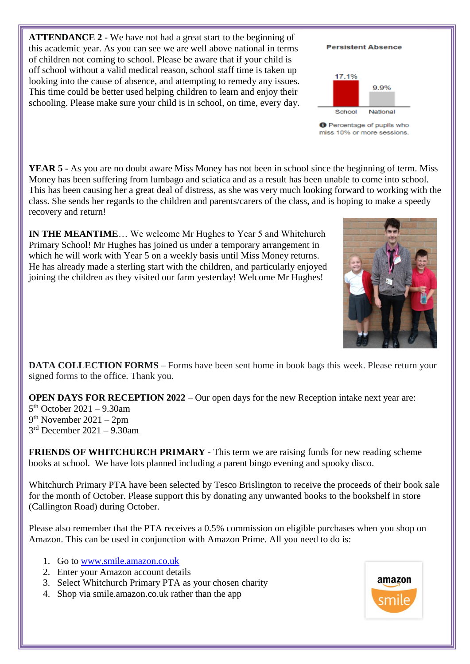**ATTENDANCE 2 -** We have not had a great start to the beginning of this academic year. As you can see we are well above national in terms of children not coming to school. Please be aware that if your child is off school without a valid medical reason, school staff time is taken up looking into the cause of absence, and attempting to remedy any issues. This time could be better used helping children to learn and enjoy their schooling. Please make sure your child is in school, on time, every day.

**YEAR 5** - As you are no doubt aware Miss Money has not been in school since the beginning of term. Miss Money has been suffering from lumbago and sciatica and as a result has been unable to come into school. This has been causing her a great deal of distress, as she was very much looking forward to working with the class. She sends her regards to the children and parents/carers of the class, and is hoping to make a speedy recovery and return!

**IN THE MEANTIME**… We welcome Mr Hughes to Year 5 and Whitchurch Primary School! Mr Hughes has joined us under a temporary arrangement in which he will work with Year 5 on a weekly basis until Miss Money returns. He has already made a sterling start with the children, and particularly enjoyed joining the children as they visited our farm yesterday! Welcome Mr Hughes!

**DATA COLLECTION FORMS** – Forms have been sent home in book bags this week. Please return your signed forms to the office. Thank you.

**OPEN DAYS FOR RECEPTION 2022** – Our open days for the new Reception intake next year are:

5 th October 2021 – 9.30am 9 th November 2021 – 2pm 3 rd December 2021 – 9.30am

**FRIENDS OF WHITCHURCH PRIMARY** - This term we are raising funds for new reading scheme books at school. We have lots planned including a parent bingo evening and spooky disco.

Whitchurch Primary PTA have been selected by Tesco Brislington to receive the proceeds of their book sale for the month of October. Please support this by donating any unwanted books to the bookshelf in store (Callington Road) during October.

Please also remember that the PTA receives a 0.5% commission on eligible purchases when you shop on Amazon. This can be used in conjunction with Amazon Prime. All you need to do is:

- 1. Go to [www.smile.amazon.co.uk](http://www.smile.amazon.co.uk/)
- 2. Enter your Amazon account details
- 3. Select Whitchurch Primary PTA as your chosen charity
- 4. Shop via smile.amazon.co.uk rather than the app







**Persistent Absence** 

**O** Percentage of pupils who miss 10% or more sessions.